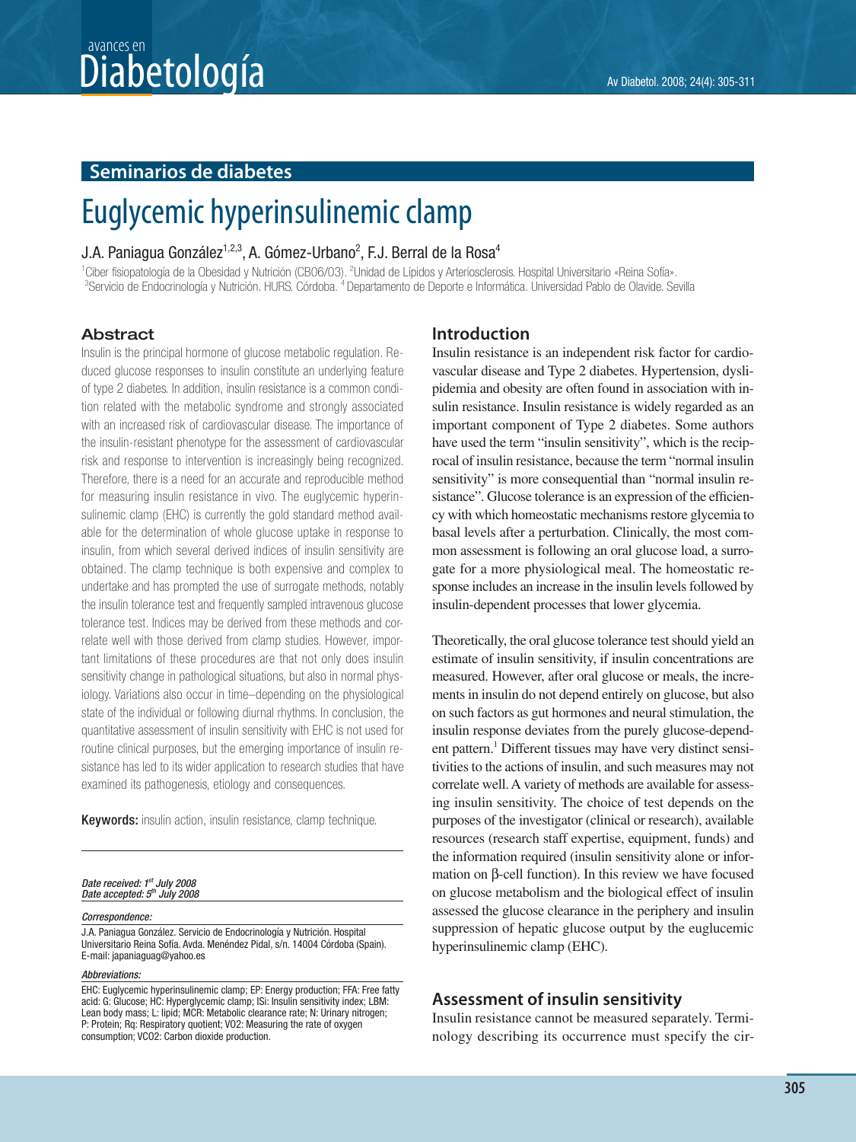## $\textbf{Diabeto}$ logía  $\textbf{A}$ v Diabetol. 2008; 24(4): 305-311 avances en

## **Seminarios de diabetes**

# Euglycemic hyperinsulinemic clamp

## J.A. Paniagua González $^{1,2,3},$  A. Gómez-Urbano $^{2},$  F.J. Berral de la Rosa $^{4}$

<sup>1</sup>Ciber fisiopatología de la Obesidad y Nutrición (CB06/03). <sup>2</sup>Unidad de Lípidos y Arteriosclerosis. Hospital Universitario «Reina Sofía».<br><sup>3</sup>Senvicio de Endocripología y Nutrición, HUBS Córdoba, <sup>4</sup> Departamento de Depo <sup>3</sup>Servicio de Endocrinología y Nutrición. HURS. Córdoba. <sup>4</sup> Departamento de Deporte e Informática. Universidad Pablo de Olavide. Sevilla

## **Abstract**

Insulin is the principal hormone of glucose metabolic regulation. Reduced glucose responses to insulin constitute an underlying feature of type 2 diabetes. In addition, insulin resistance is a common condition related with the metabolic syndrome and strongly associated with an increased risk of cardiovascular disease. The importance of the insulin-resistant phenotype for the assessment of cardiovascular risk and response to intervention is increasingly being recognized. Therefore, there is a need for an accurate and reproducible method for measuring insulin resistance in vivo. The euglycemic hyperinsulinemic clamp (EHC) is currently the gold standard method available for the determination of whole glucose uptake in response to insulin, from which several derived indices of insulin sensitivity are obtained. The clamp technique is both expensive and complex to undertake and has prompted the use of surrogate methods, notably the insulin tolerance test and frequently sampled intravenous glucose tolerance test. Indices may be derived from these methods and correlate well with those derived from clamp studies. However, important limitations of these procedures are that not only does insulin sensitivity change in pathological situations, but also in normal physiology. Variations also occur in time–depending on the physiological state of the individual or following diurnal rhythms. In conclusion, the quantitative assessment of insulin sensitivity with EHC is not used for routine clinical purposes, but the emerging importance of insulin resistance has led to its wider application to research studies that have examined its pathogenesis, etiology and consequences.

**Keywords:** insulin action, insulin resistance, clamp technique.

#### Date received: 1st July 2008 Date accepted: 5<sup>th</sup> July 2008

#### Correspondence:

J.A. Paniagua González. Servicio de Endocrinología y Nutrición. Hospital Universitario Reina Sofía. Avda. Menéndez Pidal, s/n. 14004 Córdoba (Spain). E-mail: japaniaguag@yahoo.es

#### Abbreviations:

EHC: Euglycemic hyperinsulinemic clamp; EP: Energy production; FFA: Free fatty acid: G: Glucose; HC: Hyperglycemic clamp; ISi: Insulin sensitivity index; LBM: Lean body mass; L: lipid; MCR: Metabolic clearance rate; N: Urinary nitrogen; P: Protein; Rq: Respiratory quotient; VO2: Measuring the rate of oxygen consumption; VCO2: Carbon dioxide production.

## **Introduction**

Insulin resistance is an independent risk factor for cardiovascular disease and Type 2 diabetes. Hypertension, dyslipidemia and obesity are often found in association with insulin resistance. Insulin resistance is widely regarded as an important component of Type 2 diabetes. Some authors have used the term "insulin sensitivity", which is the reciprocal of insulin resistance, because the term "normal insulin sensitivity" is more consequential than "normal insulin resistance". Glucose tolerance is an expression of the efficiency with which homeostatic mechanisms restore glycemia to basal levels after a perturbation. Clinically, the most common assessment is following an oral glucose load, a surrogate for a more physiological meal. The homeostatic response includes an increase in the insulin levels followed by insulin-dependent processes that lower glycemia.

Theoretically, the oral glucose tolerance test should yield an estimate of insulin sensitivity, if insulin concentrations are measured. However, after oral glucose or meals, the increments in insulin do not depend entirely on glucose, but also on such factors as gut hormones and neural stimulation, the insulin response deviates from the purely glucose-dependent pattern.<sup>1</sup> Different tissues may have very distinct sensitivities to the actions of insulin, and such measures may not correlate well. A variety of methods are available for assessing insulin sensitivity. The choice of test depends on the purposes of the investigator (clinical or research), available resources (research staff expertise, equipment, funds) and the information required (insulin sensitivity alone or information on β-cell function). In this review we have focused on glucose metabolism and the biological effect of insulin assessed the glucose clearance in the periphery and insulin suppression of hepatic glucose output by the euglucemic hyperinsulinemic clamp (EHC).

## **Assessment of insulin sensitivity**

Insulin resistance cannot be measured separately. Terminology describing its occurrence must specify the cir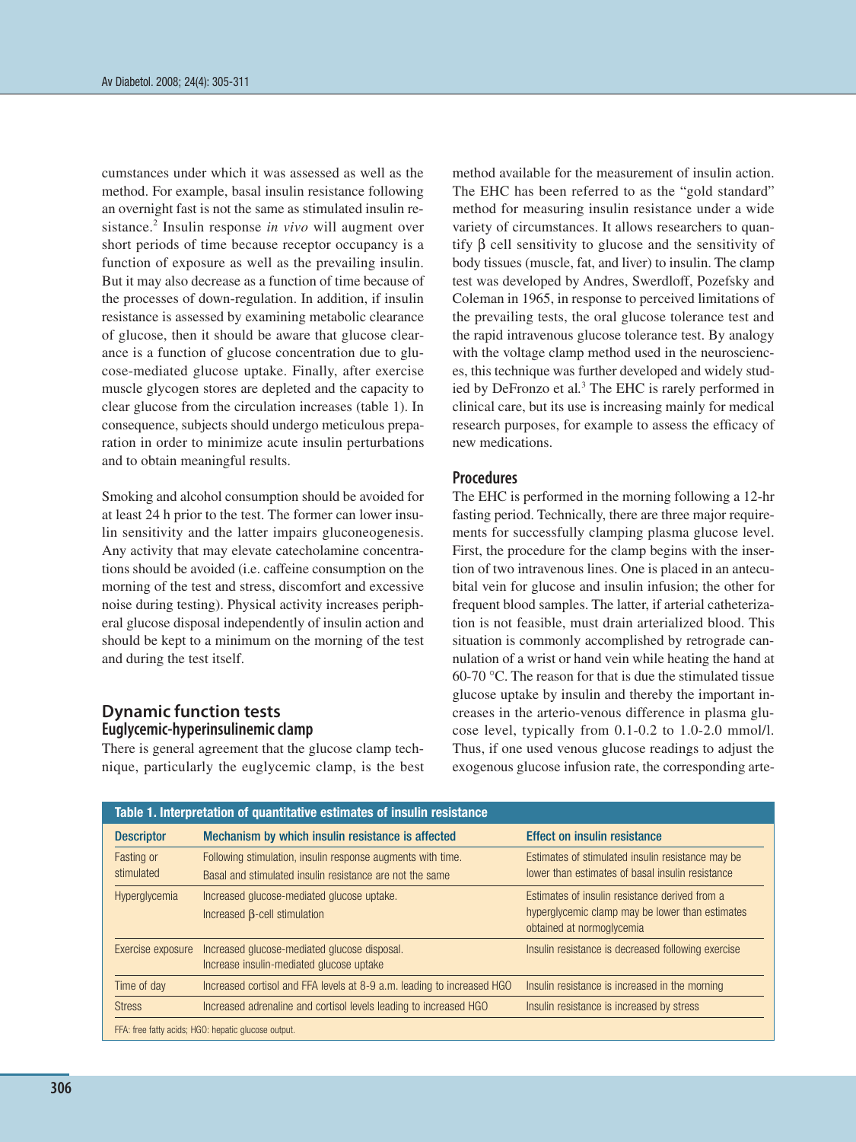cumstances under which it was assessed as well as the method. For example, basal insulin resistance following an overnight fast is not the same as stimulated insulin resistance.2 Insulin response *in vivo* will augment over short periods of time because receptor occupancy is a function of exposure as well as the prevailing insulin. But it may also decrease as a function of time because of the processes of down-regulation. In addition, if insulin resistance is assessed by examining metabolic clearance of glucose, then it should be aware that glucose clearance is a function of glucose concentration due to glucose-mediated glucose uptake. Finally, after exercise muscle glycogen stores are depleted and the capacity to clear glucose from the circulation increases (table 1). In consequence, subjects should undergo meticulous preparation in order to minimize acute insulin perturbations and to obtain meaningful results.

Smoking and alcohol consumption should be avoided for at least 24 h prior to the test. The former can lower insulin sensitivity and the latter impairs gluconeogenesis. Any activity that may elevate catecholamine concentrations should be avoided (i.e. caffeine consumption on the morning of the test and stress, discomfort and excessive noise during testing). Physical activity increases peripheral glucose disposal independently of insulin action and should be kept to a minimum on the morning of the test and during the test itself.

## **Dynamic function tests Euglycemic-hyperinsulinemic clamp**

There is general agreement that the glucose clamp technique, particularly the euglycemic clamp, is the best method available for the measurement of insulin action. The EHC has been referred to as the "gold standard" method for measuring insulin resistance under a wide variety of circumstances. It allows researchers to quantify β cell sensitivity to glucose and the sensitivity of body tissues (muscle, fat, and liver) to insulin. The clamp test was developed by Andres, Swerdloff, Pozefsky and Coleman in 1965, in response to perceived limitations of the prevailing tests, the oral glucose tolerance test and the rapid intravenous glucose tolerance test. By analogy with the voltage clamp method used in the neurosciences, this technique was further developed and widely studied by DeFronzo et al*.* <sup>3</sup> The EHC is rarely performed in clinical care, but its use is increasing mainly for medical research purposes, for example to assess the efficacy of new medications.

## **Procedures**

The EHC is performed in the morning following a 12-hr fasting period. Technically, there are three major requirements for successfully clamping plasma glucose level. First, the procedure for the clamp begins with the insertion of two intravenous lines. One is placed in an antecubital vein for glucose and insulin infusion; the other for frequent blood samples. The latter, if arterial catheterization is not feasible, must drain arterialized blood. This situation is commonly accomplished by retrograde cannulation of a wrist or hand vein while heating the hand at 60-70 °C. The reason for that is due the stimulated tissue glucose uptake by insulin and thereby the important increases in the arterio-venous difference in plasma glucose level, typically from 0.1-0.2 to 1.0-2.0 mmol/l. Thus, if one used venous glucose readings to adjust the exogenous glucose infusion rate, the corresponding arte-

| Table 1. Interpretation of quantitative estimates of insulin resistance |                                                                                                                         |                                                                                                                                |  |
|-------------------------------------------------------------------------|-------------------------------------------------------------------------------------------------------------------------|--------------------------------------------------------------------------------------------------------------------------------|--|
| <b>Descriptor</b>                                                       | Mechanism by which insulin resistance is affected                                                                       | <b>Effect on insulin resistance</b>                                                                                            |  |
| Fasting or<br>stimulated                                                | Following stimulation, insulin response augments with time.<br>Basal and stimulated insulin resistance are not the same | Estimates of stimulated insulin resistance may be<br>lower than estimates of basal insulin resistance                          |  |
| Hyperglycemia                                                           | Increased glucose-mediated glucose uptake.<br>Increased $\beta$ -cell stimulation                                       | Estimates of insulin resistance derived from a<br>hyperglycemic clamp may be lower than estimates<br>obtained at normoglycemia |  |
| Exercise exposure                                                       | Increased glucose-mediated glucose disposal.<br>Increase insulin-mediated glucose uptake                                | Insulin resistance is decreased following exercise                                                                             |  |
| Time of day                                                             | Increased cortisol and FFA levels at 8-9 a.m. leading to increased HGO                                                  | Insulin resistance is increased in the morning                                                                                 |  |
| <b>Stress</b>                                                           | Increased adrenaline and cortisol levels leading to increased HGO                                                       | Insulin resistance is increased by stress                                                                                      |  |
| FFA: free fatty acids; HGO: hepatic glucose output.                     |                                                                                                                         |                                                                                                                                |  |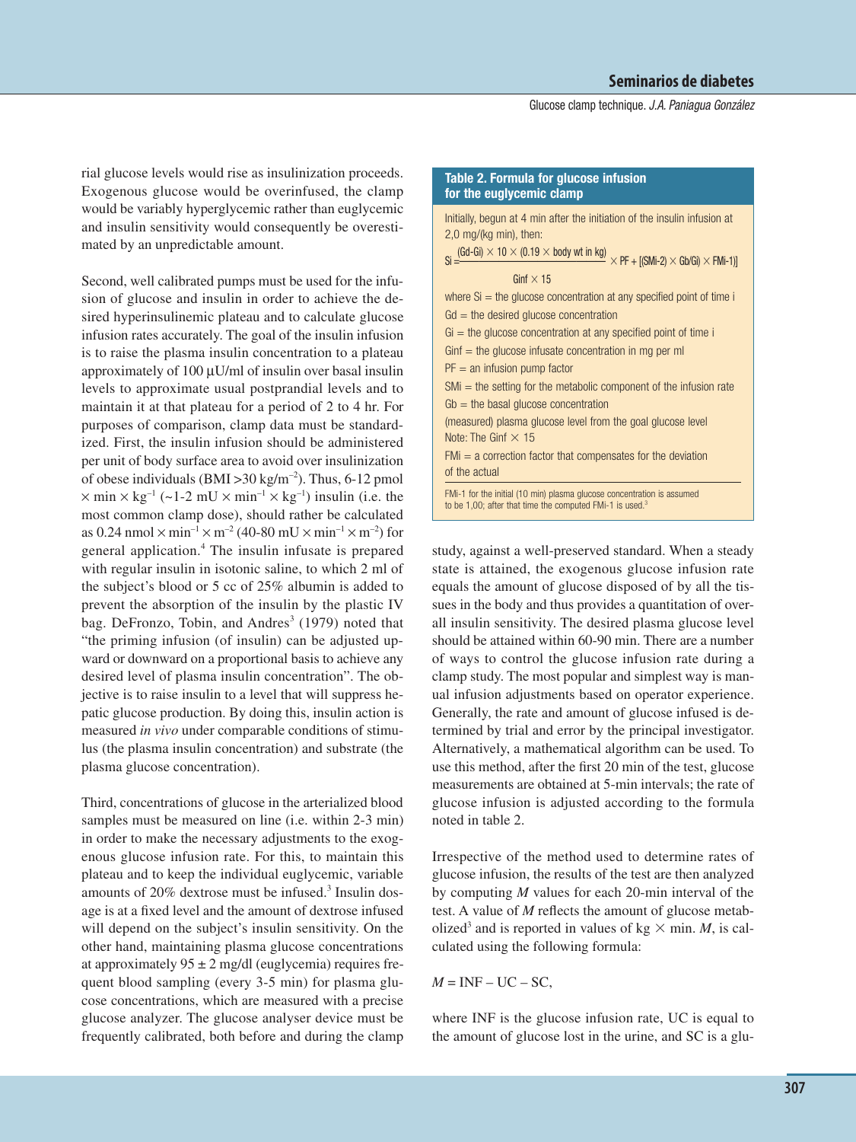Glucose clamp technique. J.A. Paniagua González

rial glucose levels would rise as insulinization proceeds. Exogenous glucose would be overinfused, the clamp would be variably hyperglycemic rather than euglycemic and insulin sensitivity would consequently be overestimated by an unpredictable amount.

Second, well calibrated pumps must be used for the infusion of glucose and insulin in order to achieve the desired hyperinsulinemic plateau and to calculate glucose infusion rates accurately. The goal of the insulin infusion is to raise the plasma insulin concentration to a plateau approximately of  $100 \mu U/ml$  of insulin over basal insulin levels to approximate usual postprandial levels and to maintain it at that plateau for a period of 2 to 4 hr. For purposes of comparison, clamp data must be standardized. First, the insulin infusion should be administered per unit of body surface area to avoid over insulinization of obese individuals (BMI > 30 kg/m<sup>-2</sup>). Thus, 6-12 pmol  $\times$  min  $\times$  kg<sup>-1</sup> (~1-2 mU  $\times$  min<sup>-1</sup>  $\times$  kg<sup>-1</sup>) insulin (i.e. the most common clamp dose), should rather be calculated as 0.24 nmol  $\times$  min<sup>-1</sup>  $\times$  m<sup>-2</sup> (40-80 mU  $\times$  min<sup>-1</sup>  $\times$  m<sup>-2</sup>) for general application.4 The insulin infusate is prepared with regular insulin in isotonic saline, to which 2 ml of the subject's blood or 5 cc of 25% albumin is added to prevent the absorption of the insulin by the plastic IV bag. DeFronzo, Tobin, and Andres<sup>3</sup> (1979) noted that "the priming infusion (of insulin) can be adjusted upward or downward on a proportional basis to achieve any desired level of plasma insulin concentration". The objective is to raise insulin to a level that will suppress hepatic glucose production. By doing this, insulin action is measured *in vivo* under comparable conditions of stimulus (the plasma insulin concentration) and substrate (the plasma glucose concentration).

Third, concentrations of glucose in the arterialized blood samples must be measured on line (i.e. within 2-3 min) in order to make the necessary adjustments to the exogenous glucose infusion rate. For this, to maintain this plateau and to keep the individual euglycemic, variable amounts of 20% dextrose must be infused.3 Insulin dosage is at a fixed level and the amount of dextrose infused will depend on the subject's insulin sensitivity. On the other hand, maintaining plasma glucose concentrations at approximately  $95 \pm 2$  mg/dl (euglycemia) requires frequent blood sampling (every 3-5 min) for plasma glucose concentrations, which are measured with a precise glucose analyzer. The glucose analyser device must be frequently calibrated, both before and during the clamp

| Table 2. Formula for glucose infusion<br>for the euglycemic clamp                                                                                                                       |
|-----------------------------------------------------------------------------------------------------------------------------------------------------------------------------------------|
| Initially, begun at 4 min after the initiation of the insulin infusion at<br>$2,0$ mg/(kg min), then:                                                                                   |
| $\text{Si} \equiv \stackrel{(\text{Gd-Gi}) \times 10 \times (0.19 \times \text{body wt in kg})}{=} \times \text{PF} + \text{[(SMi-2) \times Gb/Gi) \times FMi-1)]}$<br>Ginf $\times$ 15 |
| where $Si$ = the glucose concentration at any specified point of time i<br>$Gd =$ the desired glucose concentration                                                                     |
| $Gi =$ the glucose concentration at any specified point of time i<br>$Gint$ = the glucose infusate concentration in mg per ml                                                           |
| $PF = an$ infusion pump factor<br>SMi = the setting for the metabolic component of the infusion rate                                                                                    |
| $Gb =$ the basal glucose concentration                                                                                                                                                  |
| (measured) plasma glucose level from the goal glucose level<br>Note: The Ginf $\times$ 15                                                                                               |
| $FMi = a$ correction factor that compensates for the deviation<br>of the actual                                                                                                         |
| FMi-1 for the initial (10 min) plasma glucose concentration is assumed<br>to be 1,00; after that time the computed FMi-1 is used. $3$                                                   |
|                                                                                                                                                                                         |

study, against a well-preserved standard. When a steady state is attained, the exogenous glucose infusion rate equals the amount of glucose disposed of by all the tissues in the body and thus provides a quantitation of overall insulin sensitivity. The desired plasma glucose level should be attained within 60-90 min. There are a number of ways to control the glucose infusion rate during a clamp study. The most popular and simplest way is manual infusion adjustments based on operator experience. Generally, the rate and amount of glucose infused is determined by trial and error by the principal investigator. Alternatively, a mathematical algorithm can be used. To use this method, after the first 20 min of the test, glucose measurements are obtained at 5-min intervals; the rate of glucose infusion is adjusted according to the formula noted in table 2.

Irrespective of the method used to determine rates of glucose infusion, the results of the test are then analyzed by computing *M* values for each 20-min interval of the test. A value of *M* reflects the amount of glucose metabolized<sup>3</sup> and is reported in values of kg  $\times$  min. *M*, is calculated using the following formula:

 $M = INF - UC - SC$ ,

where INF is the glucose infusion rate, UC is equal to the amount of glucose lost in the urine, and SC is a glu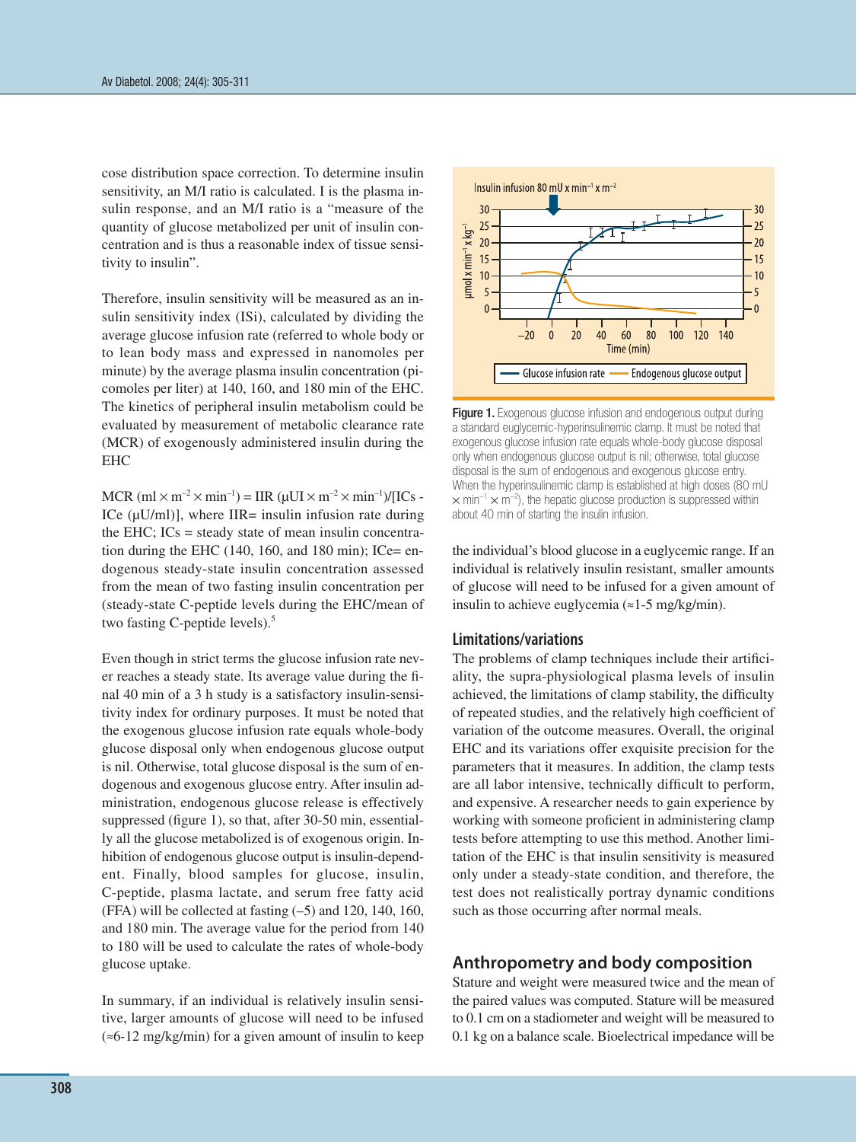cose distribution space correction. To determine insulin sensitivity, an M/I ratio is calculated. I is the plasma insulin response, and an M/I ratio is a "measure of the quantity of glucose metabolized per unit of insulin concentration and is thus a reasonable index of tissue sensitivity to insulin".

Therefore, insulin sensitivity will be measured as an insulin sensitivity index (ISi), calculated by dividing the average glucose infusion rate (referred to whole body or to lean body mass and expressed in nanomoles per minute) by the average plasma insulin concentration (picomoles per liter) at 140, 160, and 180 min of the EHC. The kinetics of peripheral insulin metabolism could be evaluated by measurement of metabolic clearance rate (MCR) of exogenously administered insulin during the EHC

 $MCR$  (ml  $\times$  m<sup>-2</sup>  $\times$  min<sup>-1</sup>) = IIR ( $\mu$ UI  $\times$  m<sup>-2</sup>  $\times$  min<sup>-1</sup>)/[ICs -ICe  $(\mu U/ml)$ ], where IIR= insulin infusion rate during the EHC;  $ICs$  = steady state of mean insulin concentration during the EHC  $(140, 160,$  and  $180$  min); ICe= endogenous steady-state insulin concentration assessed from the mean of two fasting insulin concentration per (steady-state C-peptide levels during the EHC/mean of two fasting C-peptide levels).<sup>5</sup>

Even though in strict terms the glucose infusion rate never reaches a steady state. Its average value during the final 40 min of a 3 h study is a satisfactory insulin-sensitivity index for ordinary purposes. It must be noted that the exogenous glucose infusion rate equals whole-body glucose disposal only when endogenous glucose output is nil. Otherwise, total glucose disposal is the sum of endogenous and exogenous glucose entry. After insulin administration, endogenous glucose release is effectively suppressed (figure 1), so that, after 30-50 min, essentially all the glucose metabolized is of exogenous origin. Inhibition of endogenous glucose output is insulin-dependent. Finally, blood samples for glucose, insulin, C-peptide, plasma lactate, and serum free fatty acid (FFA) will be collected at fasting (–5) and 120, 140, 160, and 180 min. The average value for the period from 140 to 180 will be used to calculate the rates of whole-body glucose uptake.

In summary, if an individual is relatively insulin sensitive, larger amounts of glucose will need to be infused (≈6-12 mg/kg/min) for a given amount of insulin to keep



Figure 1. Exogenous glucose infusion and endogenous output during a standard euglycemic-hyperinsulinemic clamp. It must be noted that exogenous glucose infusion rate equals whole-body glucose disposal only when endogenous glucose output is nil; otherwise, total glucose disposal is the sum of endogenous and exogenous glucose entry. When the hyperinsulinemic clamp is established at high doses (80 mU  $\times$  min<sup>-1</sup>  $\times$  m<sup>-2</sup>), the hepatic glucose production is suppressed within about 40 min of starting the insulin infusion.

the individual's blood glucose in a euglycemic range. If an individual is relatively insulin resistant, smaller amounts of glucose will need to be infused for a given amount of insulin to achieve euglycemia (≈1-5 mg/kg/min).

#### **Limitations/variations**

The problems of clamp techniques include their artificiality, the supra-physiological plasma levels of insulin achieved, the limitations of clamp stability, the difficulty of repeated studies, and the relatively high coefficient of variation of the outcome measures. Overall, the original EHC and its variations offer exquisite precision for the parameters that it measures. In addition, the clamp tests are all labor intensive, technically difficult to perform, and expensive. A researcher needs to gain experience by working with someone proficient in administering clamp tests before attempting to use this method. Another limitation of the EHC is that insulin sensitivity is measured only under a steady-state condition, and therefore, the test does not realistically portray dynamic conditions such as those occurring after normal meals.

#### **Anthropometry and body composition**

Stature and weight were measured twice and the mean of the paired values was computed. Stature will be measured to 0.1 cm on a stadiometer and weight will be measured to 0.1 kg on a balance scale. Bioelectrical impedance will be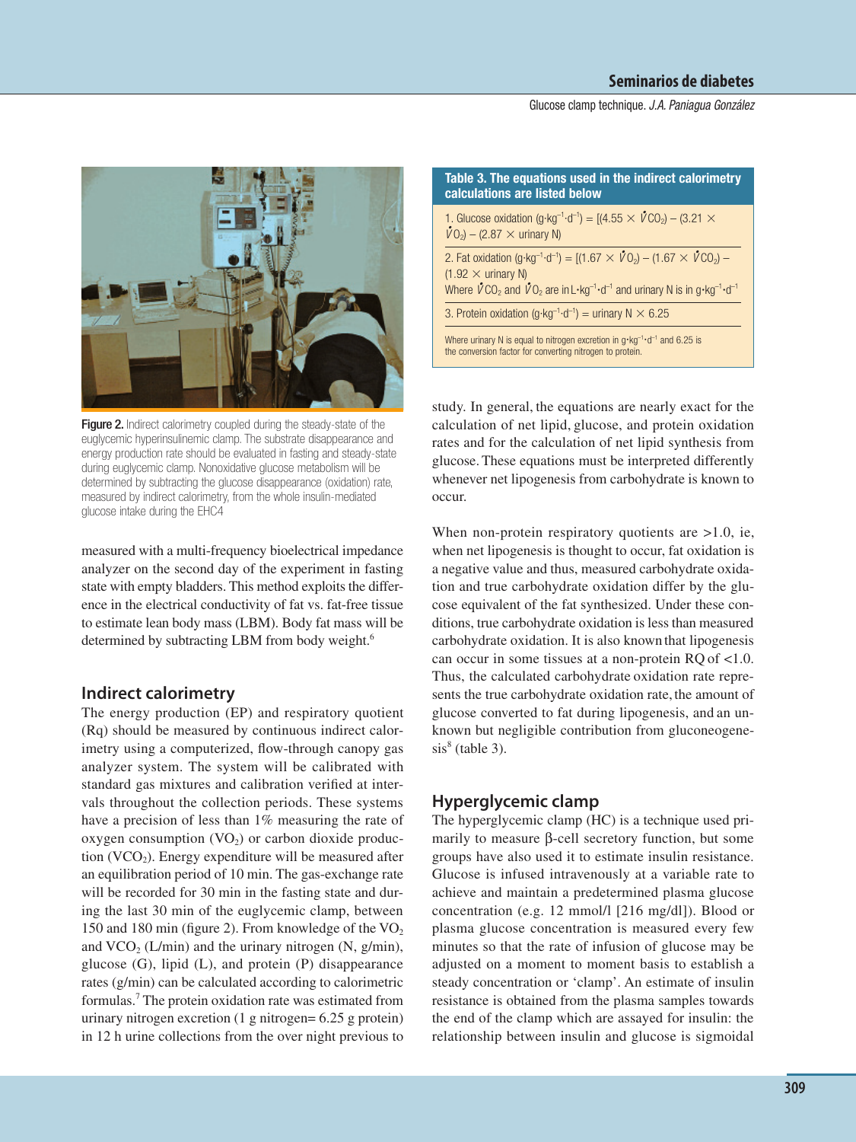#### Glucose clamp technique. J.A. Paniagua González



**Figure 2.** Indirect calorimetry coupled during the steady-state of the euglycemic hyperinsulinemic clamp. The substrate disappearance and energy production rate should be evaluated in fasting and steady-state during euglycemic clamp. Nonoxidative glucose metabolism will be determined by subtracting the glucose disappearance (oxidation) rate, measured by indirect calorimetry, from the whole insulin-mediated glucose intake during the EHC4

measured with a multi-frequency bioelectrical impedance analyzer on the second day of the experiment in fasting state with empty bladders. This method exploits the difference in the electrical conductivity of fat vs. fat-free tissue to estimate lean body mass (LBM). Body fat mass will be determined by subtracting LBM from body weight.<sup>6</sup>

## **Indirect calorimetry**

The energy production (EP) and respiratory quotient (Rq) should be measured by continuous indirect calorimetry using a computerized, ßow-through canopy gas analyzer system. The system will be calibrated with standard gas mixtures and calibration verified at intervals throughout the collection periods. These systems have a precision of less than 1% measuring the rate of oxygen consumption  $(VO<sub>2</sub>)$  or carbon dioxide production  $(VCO<sub>2</sub>)$ . Energy expenditure will be measured after an equilibration period of 10 min. The gas-exchange rate will be recorded for 30 min in the fasting state and during the last 30 min of the euglycemic clamp, between 150 and 180 min (figure 2). From knowledge of the  $VO<sub>2</sub>$ and  $VCO<sub>2</sub> (L/min)$  and the urinary nitrogen (N, g/min), glucose (G), lipid (L), and protein (P) disappearance rates (g/min) can be calculated according to calorimetric formulas.7 The protein oxidation rate was estimated from urinary nitrogen excretion (1 g nitrogen= 6.25 g protein) in 12 h urine collections from the over night previous to

| Table 3. The equations used in the indirect calorimetry<br>calculations are listed below                                                                                                                                                                                                                                                     |  |  |
|----------------------------------------------------------------------------------------------------------------------------------------------------------------------------------------------------------------------------------------------------------------------------------------------------------------------------------------------|--|--|
| 1. Glucose oxidation (g·kg <sup>-1</sup> ·d <sup>-1</sup> ) = [(4.55 $\times$ $\sqrt{C_0}$ ) – (3.21 $\times$<br>$\dot{V}$ O <sub>2</sub> ) – (2.87 $\times$ urinary N)                                                                                                                                                                      |  |  |
| 2. Fat oxidation (g·kg <sup>-1</sup> ·d <sup>-1</sup> ) = [(1.67 $\times$ $\mathring{V}O_2$ ) – (1.67 $\times$ $\mathring{V}CO_2$ ) –<br>$(1.92 \times$ urinary N)<br>Where $\sqrt{C}O_2$ and $\sqrt{C}O_2$ are in L $\cdot$ kg <sup>-1</sup> $\cdot$ d <sup>-1</sup> and urinary N is in g $\cdot$ kg <sup>-1</sup> $\cdot$ d <sup>-1</sup> |  |  |
| 3. Protein oxidation (g·kg <sup>-1</sup> ·d <sup>-1</sup> ) = urinary N $\times$ 6.25                                                                                                                                                                                                                                                        |  |  |
| Where urinary N is equal to nitrogen excretion in $q \cdot kq^{-1} \cdot d^{-1}$ and 6.25 is<br>the conversion factor for converting nitrogen to protein.                                                                                                                                                                                    |  |  |

study. In general, the equations are nearly exact for the calculation of net lipid, glucose, and protein oxidation rates and for the calculation of net lipid synthesis from glucose.These equations must be interpreted differently whenever net lipogenesis from carbohydrate is known to occur.

When non-protein respiratory quotients are  $>1.0$ , ie, when net lipogenesis is thought to occur, fat oxidation is a negative value and thus, measured carbohydrate oxidation and true carbohydrate oxidation differ by the glucose equivalent of the fat synthesized. Under these conditions, true carbohydrate oxidation is less than measured carbohydrate oxidation. It is also known that lipogenesis can occur in some tissues at a non-protein RQ of <1.0. Thus, the calculated carbohydrate oxidation rate represents the true carbohydrate oxidation rate, the amount of glucose converted to fat during lipogenesis, and an unknown but negligible contribution from gluconeogene $sis<sup>8</sup>$  (table 3).

## **Hyperglycemic clamp**

The hyperglycemic clamp (HC) is a technique used primarily to measure β-cell secretory function, but some groups have also used it to estimate insulin resistance. Glucose is infused intravenously at a variable rate to achieve and maintain a predetermined plasma glucose concentration (e.g. 12 mmol/l [216 mg/dl]). Blood or plasma glucose concentration is measured every few minutes so that the rate of infusion of glucose may be adjusted on a moment to moment basis to establish a steady concentration or 'clamp'. An estimate of insulin resistance is obtained from the plasma samples towards the end of the clamp which are assayed for insulin: the relationship between insulin and glucose is sigmoidal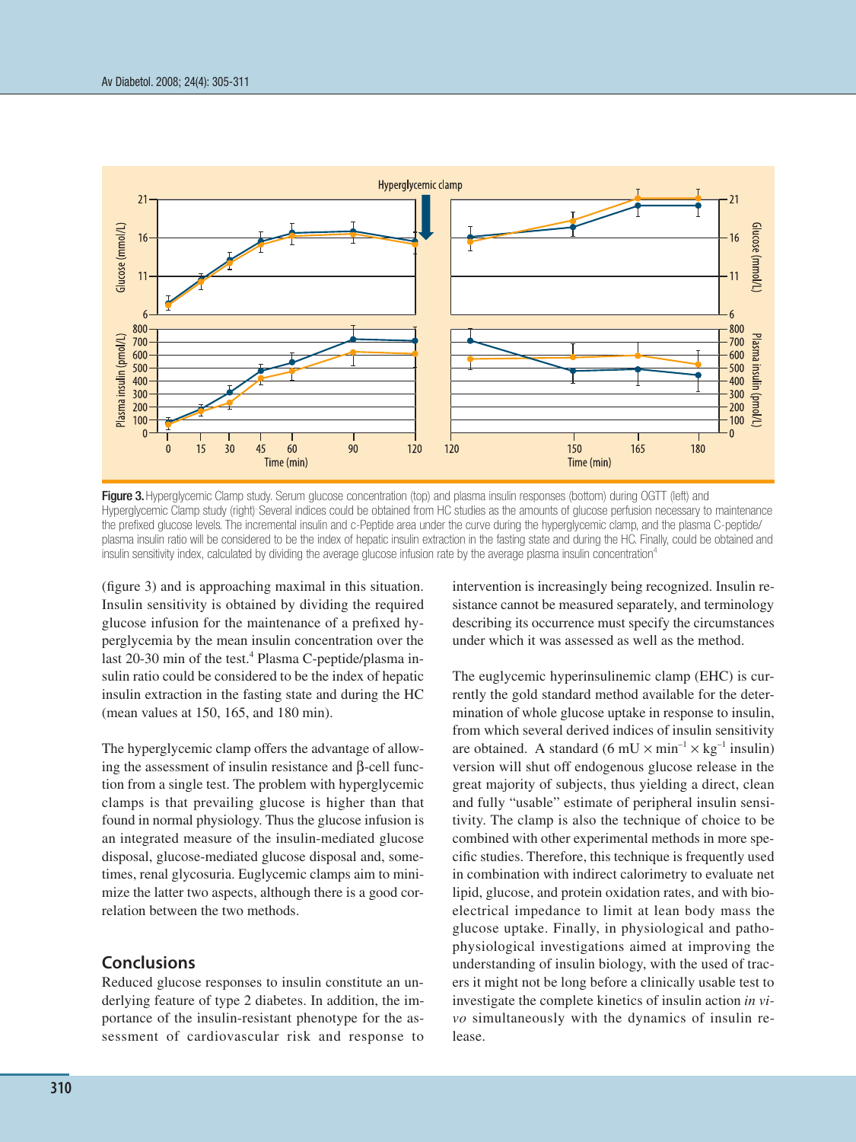

Figure 3. Hyperglycemic Clamp study. Serum glucose concentration (top) and plasma insulin responses (bottom) during OGTT (left) and Hyperglycemic Clamp study (right). Several indices could be obtained from HC studies as the amounts of glucose perfusion necessary to maintenance the prefixed glucose levels. The incremental insulin and c-Peptide area under the curve during the hyperglycemic clamp, and the plasma C-peptide/ plasma insulin ratio will be considered to be the index of hepatic insulin extraction in the fasting state and during the HC. Finally, could be obtained and insulin sensitivity index, calculated by dividing the average glucose infusion rate by the average plasma insulin concentration<sup>4</sup>

 $(figure 3)$  and is approaching maximal in this situation. in Insulin sensitivity is obtained by dividing the required glucose infusion for the maintenance of a prefixed hyperglycemia by the mean insulin concentration over the last 20-30 min of the test.<sup>4</sup> Plasma C-peptide/plasma inlast 20-30 min of the test.<sup>4</sup> Plasma C-peptide/plasma in-<br>sulin ratio could be considered to be the index of hepatic<br>insulin extraction in the fasting state and during the HC insulin extraction in the fasting state and during the HC (mean values at 150, 165, and 180 min). 6

The hyperglycemic clamp offers the advantage of allowing the assessment of insulin resistance and  $β$ -cell function from a single test. The problem with hyperglycemic clamps is that prevailing glucose is higher than that found in normal physiology. Thus the glucose infusion is an integrated measure of the insulin-mediated glucose disposal, glucose-mediated glucose disposal and, sometimes, renal glycosuria. Euglycemic clamps aim to minimize the latter two aspects, although there is a good correlation between the two methods. ne<br>g t<br>an<br>un e a  $\frac{P^3}{P^2}$ 

## **Conclusions**

Reduced glucose responses to insulin constitute an underlying feature of type 2 diabetes. In addition, the importance of the insulin-resistant phenotype for the assessment of cardiovascular risk and response to intervention is increasingly being recognized. Insulin resistance cannot be measured separately, and terminology describing its occurrence must specify the circumstances under which it was assessed as well as the method. 16  $\frac{1}{\sqrt{2}}$ 

The euglycemic hyperinsulinemic clamp (EHC) is cur-<br>rently the gold standard method available for the dater rently the gold standard method available for the determination of whole glucose uptake in response to insulin, 6 from which several derived indices of insulin sensitivity are obtained. A standard  $(6 \text{ mU} \times \text{min}^{-1} \times \text{kg}^{-1} \text{ insulin})$ version will shut off endogenous glucose release in the great majority of subjects, thus yielding a direct, clean and fully "usable" estimate of peripheral insulin sensiand fully "usable" estimate of peripheral insulin sensitivity. The clamp is also the technique of choice to be combined with other experimental methods in more specific studies. Therefore, this technique is frequently used in combination with indirect calorimetry to evaluate net lipid, glucose, and protein oxidation rates, and with bioelectrical impedance to limit at lean body mass the glucose uptake. Finally, in physiological and pathophysiological investigations aimed at improving the understanding of insulin biology, with the used of tracers it might not be long before a clinically usable test to investigate the complete kinetics of insulin action *in vivo* simultaneously with the dynamics of insulin release. ıli<br>!<br>le  $5e<sub>1</sub>$  $\mathbf{u}$